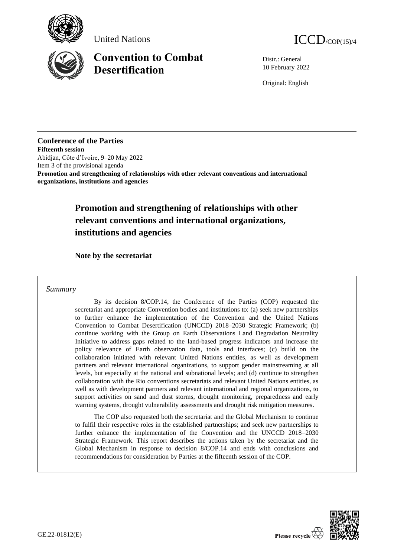





# **Convention to Combat Desertification**

Distr.: General 10 February 2022

Original: English

**Conference of the Parties Fifteenth session** Abidjan, Côte d'Ivoire, 9–20 May 2022 Item 3 of the provisional agenda **Promotion and strengthening of relationships with other relevant conventions and international organizations, institutions and agencies**

## **Promotion and strengthening of relationships with other relevant conventions and international organizations, institutions and agencies**

**Note by the secretariat** 

## *Summary*

By its decision 8/COP.14, the Conference of the Parties (COP) requested the secretariat and appropriate Convention bodies and institutions to: (a) seek new partnerships to further enhance the implementation of the Convention and the United Nations Convention to Combat Desertification (UNCCD) 2018–2030 Strategic Framework; (b) continue working with the Group on Earth Observations Land Degradation Neutrality Initiative to address gaps related to the land-based progress indicators and increase the policy relevance of Earth observation data, tools and interfaces; (c) build on the collaboration initiated with relevant United Nations entities, as well as development partners and relevant international organizations, to support gender mainstreaming at all levels, but especially at the national and subnational levels; and (d) continue to strengthen collaboration with the Rio conventions secretariats and relevant United Nations entities, as well as with development partners and relevant international and regional organizations, to support activities on sand and dust storms, drought monitoring, preparedness and early warning systems, drought vulnerability assessments and drought risk mitigation measures.

The COP also requested both the secretariat and the Global Mechanism to continue to fulfil their respective roles in the established partnerships; and seek new partnerships to further enhance the implementation of the Convention and the UNCCD 2018–2030 Strategic Framework. This report describes the actions taken by the secretariat and the Global Mechanism in response to decision 8/COP.14 and ends with conclusions and recommendations for consideration by Parties at the fifteenth session of the COP.

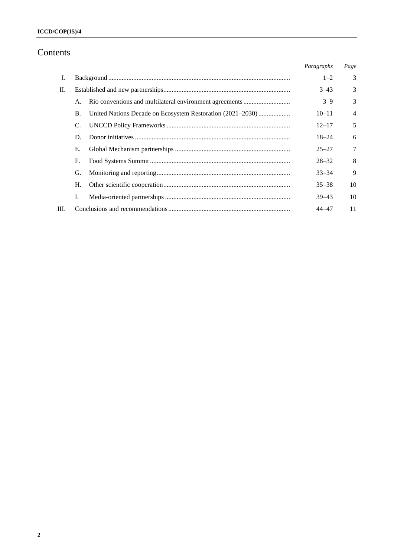## Contents

|      |           |                                                            | Paragraphs | Page           |
|------|-----------|------------------------------------------------------------|------------|----------------|
| Ι.   |           |                                                            | $1 - 2$    | 3              |
| П.   |           |                                                            | $3 - 43$   | 3              |
|      | A.        |                                                            | $3 - 9$    | 3              |
|      | <b>B.</b> | United Nations Decade on Ecosystem Restoration (2021–2030) | $10 - 11$  | $\overline{4}$ |
|      | C.        |                                                            | $12 - 17$  | 5              |
|      | D.        |                                                            | $18 - 24$  | 6              |
|      | Е.        |                                                            | $25 - 27$  | 7              |
|      | F.        |                                                            | $28 - 32$  | 8              |
|      | G.        |                                                            | $33 - 34$  | 9              |
|      | Н.        |                                                            | $35 - 38$  | 10             |
|      | I.        |                                                            | $39 - 43$  | 10             |
| III. |           |                                                            | $44 - 47$  | 11             |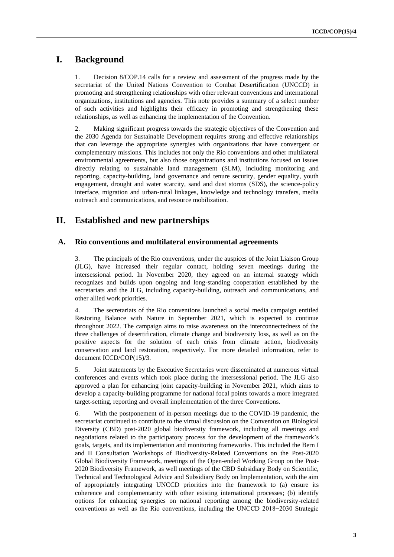## **I. Background**

1. Decision 8/COP.14 calls for a review and assessment of the progress made by the secretariat of the United Nations Convention to Combat Desertification (UNCCD) in promoting and strengthening relationships with other relevant conventions and international organizations, institutions and agencies. This note provides a summary of a select number of such activities and highlights their efficacy in promoting and strengthening these relationships, as well as enhancing the implementation of the Convention.

2. Making significant progress towards the strategic objectives of the Convention and the 2030 Agenda for Sustainable Development requires strong and effective relationships that can leverage the appropriate synergies with organizations that have convergent or complementary missions. This includes not only the Rio conventions and other multilateral environmental agreements, but also those organizations and institutions focused on issues directly relating to sustainable land management (SLM), including monitoring and reporting, capacity-building, land governance and tenure security, gender equality, youth engagement, drought and water scarcity, sand and dust storms (SDS), the science-policy interface, migration and urban-rural linkages, knowledge and technology transfers, media outreach and communications, and resource mobilization.

## **II. Established and new partnerships**

## **A. Rio conventions and multilateral environmental agreements**

3. The principals of the Rio conventions, under the auspices of the Joint Liaison Group (JLG), have increased their regular contact, holding seven meetings during the intersessional period. In November 2020, they agreed on an internal strategy which recognizes and builds upon ongoing and long-standing cooperation established by the secretariats and the JLG, including capacity-building, outreach and communications, and other allied work priorities.

4. The secretariats of the Rio conventions launched a social media campaign entitled Restoring Balance with Nature in September 2021, which is expected to continue throughout 2022. The campaign aims to raise awareness on the interconnectedness of the three challenges of desertification, climate change and biodiversity loss, as well as on the positive aspects for the solution of each crisis from climate action, biodiversity conservation and land restoration, respectively. For more detailed information, refer to document ICCD/COP(15)/3.

5. Joint statements by the Executive Secretaries were disseminated at numerous virtual conferences and events which took place during the intersessional period. The JLG also approved a plan for enhancing joint capacity-building in November 2021, which aims to develop a capacity-building programme for national focal points towards a more integrated target-setting, reporting and overall implementation of the three Conventions.

6. With the postponement of in-person meetings due to the COVID-19 pandemic, the secretariat continued to contribute to the virtual discussion on the Convention on Biological Diversity (CBD) post-2020 global biodiversity framework, including all meetings and negotiations related to the participatory process for the development of the framework's goals, targets, and its implementation and monitoring frameworks. This included the Bern I and II Consultation Workshops of Biodiversity-Related Conventions on the Post-2020 Global Biodiversity Framework, meetings of the Open-ended Working Group on the Post-2020 Biodiversity Framework, as well meetings of the CBD Subsidiary Body on Scientific, Technical and Technological Advice and Subsidiary Body on Implementation, with the aim of appropriately integrating UNCCD priorities into the framework to (a) ensure its coherence and complementarity with other existing international processes; (b) identify options for enhancing synergies on national reporting among the biodiversity-related conventions as well as the Rio conventions, including the UNCCD 2018−2030 Strategic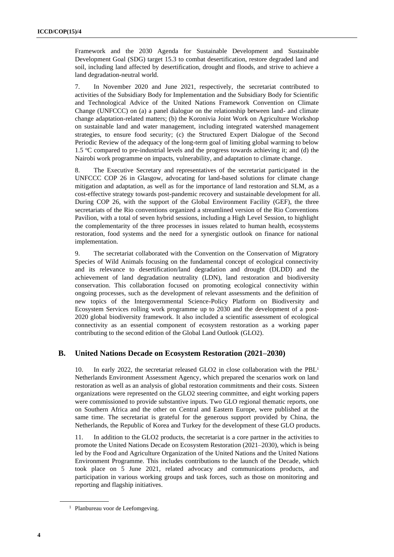Framework and the 2030 Agenda for Sustainable Development and Sustainable Development Goal (SDG) target 15.3 to combat desertification, restore degraded land and soil, including land affected by desertification, drought and floods, and strive to achieve a land degradation-neutral world.

7. In November 2020 and June 2021, respectively, the secretariat contributed to activities of the Subsidiary Body for Implementation and the Subsidiary Body for Scientific and Technological Advice of the United Nations Framework Convention on Climate Change (UNFCCC) on (a) a panel dialogue on the relationship between land- and climate change adaptation-related matters; (b) the Koronivia Joint Work on Agriculture Workshop on sustainable land and water management, including integrated watershed management strategies, to ensure food security; (c) the Structured Expert Dialogue of the Second Periodic Review of the adequacy of the long-term goal of limiting global warming to below 1.5  $\degree$ C compared to pre-industrial levels and the progress towards achieving it; and (d) the Nairobi work programme on impacts, vulnerability, and adaptation to climate change.

8. The Executive Secretary and representatives of the secretariat participated in the UNFCCC COP 26 in Glasgow, advocating for land-based solutions for climate change mitigation and adaptation, as well as for the importance of land restoration and SLM, as a cost-effective strategy towards post-pandemic recovery and sustainable development for all. During COP 26, with the support of the Global Environment Facility (GEF), the three secretariats of the Rio conventions organized a streamlined version of the Rio Conventions Pavilion, with a total of seven hybrid sessions, including a High Level Session, to highlight the complementarity of the three processes in issues related to human health, ecosystems restoration, food systems and the need for a synergistic outlook on finance for national implementation.

9. The secretariat collaborated with the Convention on the Conservation of Migratory Species of Wild Animals focusing on the fundamental concept of ecological connectivity and its relevance to desertification/land degradation and drought (DLDD) and the achievement of land degradation neutrality (LDN), land restoration and biodiversity conservation. This collaboration focused on promoting ecological connectivity within ongoing processes, such as the development of relevant assessments and the definition of new topics of the Intergovernmental Science-Policy Platform on Biodiversity and Ecosystem Services rolling work programme up to 2030 and the development of a post-2020 global biodiversity framework. It also included a scientific assessment of ecological connectivity as an essential component of ecosystem restoration as a working paper contributing to the second edition of the Global Land Outlook (GLO2).

## **B. United Nations Decade on Ecosystem Restoration (2021–2030)**

10. In early 2022, the secretariat released GLO2 in close collaboration with the PBL<sup>1</sup> Netherlands Environment Assessment Agency, which prepared the scenarios work on land restoration as well as an analysis of global restoration commitments and their costs. Sixteen organizations were represented on the GLO2 steering committee, and eight working papers were commissioned to provide substantive inputs. Two GLO regional thematic reports, one on Southern Africa and the other on Central and Eastern Europe, were published at the same time. The secretariat is grateful for the generous support provided by China, the Netherlands, the Republic of Korea and Turkey for the development of these GLO products.

11. In addition to the GLO2 products, the secretariat is a core partner in the activities to promote the United Nations Decade on Ecosystem Restoration (2021–2030), which is being led by the Food and Agriculture Organization of the United Nations and the United Nations Environment Programme. This includes contributions to the launch of the Decade, which took place on 5 June 2021, related advocacy and communications products, and participation in various working groups and task forces, such as those on monitoring and reporting and flagship initiatives.

<sup>&</sup>lt;sup>1</sup> Planbureau voor de Leefomgeving.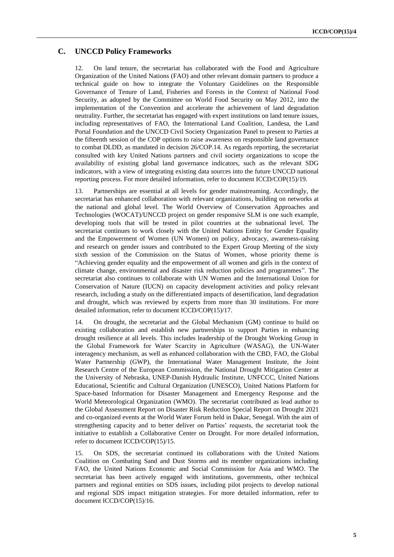## **C. UNCCD Policy Frameworks**

12. On land tenure, the secretariat has collaborated with the Food and Agriculture Organization of the United Nations (FAO) and other relevant domain partners to produce a technical guide on how to integrate the Voluntary Guidelines on the Responsible Governance of Tenure of Land, Fisheries and Forests in the Context of National Food Security, as adopted by the Committee on World Food Security on May 2012, into the implementation of the Convention and accelerate the achievement of land degradation neutrality. Further, the secretariat has engaged with expert institutions on land tenure issues, including representatives of FAO, the International Land Coalition, Landesa, the Land Portal Foundation and the UNCCD Civil Society Organization Panel to present to Parties at the fifteenth session of the COP options to raise awareness on responsible land governance to combat DLDD, as mandated in decision 26/COP.14. As regards reporting, the secretariat consulted with key United Nations partners and civil society organizations to scope the availability of existing global land governance indicators, such as the relevant SDG indicators, with a view of integrating existing data sources into the future UNCCD national reporting process. For more detailed information, refer to document ICCD/COP(15)/19.

13. Partnerships are essential at all levels for gender mainstreaming. Accordingly, the secretariat has enhanced collaboration with relevant organizations, building on networks at the national and global level. The World Overview of Conservation Approaches and Technologies (WOCAT)/UNCCD project on gender responsive SLM is one such example, developing tools that will be tested in pilot countries at the subnational level. The secretariat continues to work closely with the United Nations Entity for Gender Equality and the Empowerment of Women (UN Women) on policy, advocacy, awareness-raising and research on gender issues and contributed to the Expert Group Meeting of the sixty sixth session of the Commission on the Status of Women, whose priority theme is "Achieving gender equality and the empowerment of all women and girls in the context of climate change, environmental and disaster risk reduction policies and programmes". The secretariat also continues to collaborate with UN Women and the International Union for Conservation of Nature (IUCN) on capacity development activities and policy relevant research, including a study on the differentiated impacts of desertification, land degradation and drought, which was reviewed by experts from more than 30 institutions. For more detailed information, refer to document ICCD/COP(15)/17.

14. On drought, the secretariat and the Global Mechanism (GM) continue to build on existing collaboration and establish new partnerships to support Parties in enhancing drought resilience at all levels. This includes leadership of the Drought Working Group in the Global Framework for Water Scarcity in Agriculture (WASAG), the UN-Water interagency mechanism, as well as enhanced collaboration with the CBD, FAO, the Global Water Partnership (GWP), the International Water Management Institute, the Joint Research Centre of the European Commission, the National Drought Mitigation Center at the University of Nebraska, UNEP-Danish Hydraulic Institute, UNFCCC, United Nations Educational, Scientific and Cultural Organization (UNESCO), United Nations Platform for Space-based Information for Disaster Management and Emergency Response and the World Meteorological Organization (WMO). The secretariat contributed as lead author to the Global Assessment Report on Disaster Risk Reduction Special Report on Drought 2021 and co-organized events at the World Water Forum held in Dakar, Senegal. With the aim of strengthening capacity and to better deliver on Parties' requests, the secretariat took the initiative to establish a Collaborative Center on Drought. For more detailed information, refer to document ICCD/COP(15)/15.

15. On SDS, the secretariat continued its collaborations with the United Nations Coalition on Combating Sand and Dust Storms and its member organizations including FAO, the United Nations Economic and Social Commission for Asia and WMO. The secretariat has been actively engaged with institutions, governments, other technical partners and regional entities on SDS issues, including pilot projects to develop national and regional SDS impact mitigation strategies. For more detailed information, refer to document ICCD/COP(15)/16.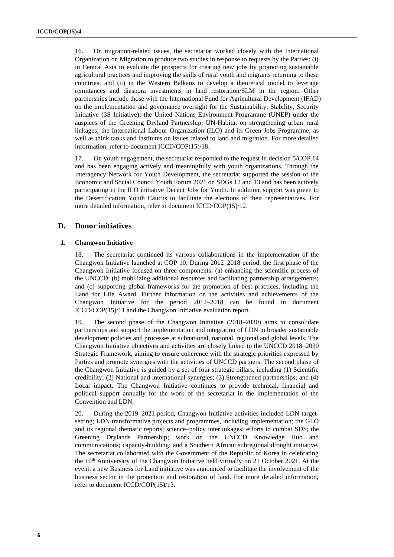16. On migration-related issues, the secretariat worked closely with the International Organization on Migration to produce two studies in response to requests by the Parties: (i) in Central Asia to evaluate the prospects for creating new jobs by promoting sustainable agricultural practices and improving the skills of rural youth and migrants returning to these countries; and (ii) in the Western Balkans to develop a theoretical model to leverage remittances and diaspora investments in land restoration/SLM in the region. Other partnerships include those with the International Fund for Agricultural Development (IFAD) on the implementation and governance oversight for the Sustainability, Stability, Security Initiative (3S Initiative); the United Nations Environment Programme (UNEP) under the auspices of the Greening Dryland Partnership; UN-Habitat on strengthening urban–rural linkages; the International Labour Organization (ILO) and its Green Jobs Programme; as well as think tanks and institutes on issues related to land and migration. For more detailed information, refer to document ICCD/COP(15)/18.

17. On youth engagement, the secretariat responded to the request in decision 5/COP.14 and has been engaging actively and meaningfully with youth organizations. Through the Interagency Network for Youth Development, the secretariat supported the session of the Economic and Social Council Youth Forum 2021 on SDGs 12 and 13 and has been actively participating in the ILO initiative Decent Jobs for Youth. In addition, support was given to the Desertification Youth Caucus to facilitate the elections of their representatives. For more detailed information, refer to document ICCD/COP(15)/12.

## **D. Donor initiatives**

#### **1. Changwon Initiative**

18. The secretariat continued its various collaborations in the implementation of the Changwon Initiative launched at COP 10. During 2012–2018 period, the first phase of the Changwon Initiative focused on three components: (a) enhancing the scientific process of the UNCCD; (b) mobilizing additional resources and facilitating partnership arrangements; and (c) supporting global frameworks for the promotion of best practices, including the Land for Life Award. Further information on the activities and achievements of the Changwon Initiative for the period 2012–2018 can be found in document ICCD/COP(15)/11 and the Changwon Initiative evaluation report.

19. The second phase of the Changwon Initiative (2018–2030) aims to consolidate partnerships and support the implementation and integration of LDN in broader sustainable development policies and processes at subnational, national, regional and global levels. The Changwon Initiative objectives and activities are closely linked to the UNCCD 2018–2030 Strategic Framework, aiming to ensure coherence with the strategic priorities expressed by Parties and promote synergies with the activities of UNCCD partners. The second phase of the Changwon Initiative is guided by a set of four strategic pillars, including (1) Scientific credibility; (2) National and international synergies; (3) Strengthened partnerships; and (4) Local impact. The Changwon Initiative continues to provide technical, financial and political support annually for the work of the secretariat in the implementation of the Convention and LDN.

20. During the 2019–2021 period, Changwon Initiative activities included LDN targetsetting; LDN transformative projects and programmes, including implementation; the GLO and its regional thematic reports; science–policy interlinkages; efforts to combat SDS; the Greening Drylands Partnership; work on the UNCCD Knowledge Hub and communications; capacity-building; and a Southern African subregional drought initiative. The secretariat collaborated with the Government of the Republic of Korea in celebrating the 10<sup>th</sup> Anniversary of the Changwon Initiative held virtually on 21 October 2021. At the event, a new Business for Land initiative was announced to facilitate the involvement of the business sector in the protection and restoration of land. For more detailed information, refer to document ICCD/COP(15)/13.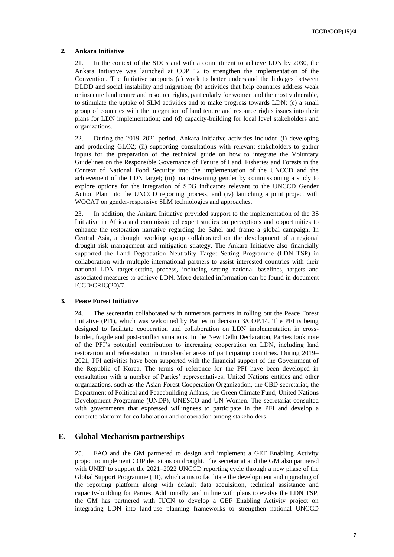#### **2. Ankara Initiative**

21. In the context of the SDGs and with a commitment to achieve LDN by 2030, the Ankara Initiative was launched at COP 12 to strengthen the implementation of the Convention. The Initiative supports (a) work to better understand the linkages between DLDD and social instability and migration; (b) activities that help countries address weak or insecure land tenure and resource rights, particularly for women and the most vulnerable, to stimulate the uptake of SLM activities and to make progress towards LDN; (c) a small group of countries with the integration of land tenure and resource rights issues into their plans for LDN implementation; and (d) capacity-building for local level stakeholders and organizations.

22. During the 2019–2021 period, Ankara Initiative activities included (i) developing and producing GLO2; (ii) supporting consultations with relevant stakeholders to gather inputs for the preparation of the technical guide on how to integrate the Voluntary Guidelines on the Responsible Governance of Tenure of Land, Fisheries and Forests in the Context of National Food Security into the implementation of the UNCCD and the achievement of the LDN target; (iii) mainstreaming gender by commissioning a study to explore options for the integration of SDG indicators relevant to the UNCCD Gender Action Plan into the UNCCD reporting process; and (iv) launching a joint project with WOCAT on gender-responsive SLM technologies and approaches.

23. In addition, the Ankara Initiative provided support to the implementation of the 3S Initiative in Africa and commissioned expert studies on perceptions and opportunities to enhance the restoration narrative regarding the Sahel and frame a global campaign. In Central Asia, a drought working group collaborated on the development of a regional drought risk management and mitigation strategy. The Ankara Initiative also financially supported the Land Degradation Neutrality Target Setting Programme (LDN TSP) in collaboration with multiple international partners to assist interested countries with their national LDN target-setting process, including setting national baselines, targets and associated measures to achieve LDN. More detailed information can be found in document ICCD/CRIC(20)/7.

#### **3. Peace Forest Initiative**

24. The secretariat collaborated with numerous partners in rolling out the Peace Forest Initiative (PFI), which was welcomed by Parties in decision 3/COP.14. The PFI is being designed to facilitate cooperation and collaboration on LDN implementation in crossborder, fragile and post-conflict situations. In the New Delhi Declaration, Parties took note of the PFI's potential contribution to increasing cooperation on LDN, including land restoration and reforestation in transborder areas of participating countries. During 2019– 2021, PFI activities have been supported with the financial support of the Government of the Republic of Korea. The terms of reference for the PFI have been developed in consultation with a number of Parties' representatives, United Nations entities and other organizations, such as the Asian Forest Cooperation Organization, the CBD secretariat, the Department of Political and Peacebuilding Affairs, the Green Climate Fund, United Nations Development Programme (UNDP), UNESCO and UN Women. The secretariat consulted with governments that expressed willingness to participate in the PFI and develop a concrete platform for collaboration and cooperation among stakeholders.

## **E. Global Mechanism partnerships**

25. FAO and the GM partnered to design and implement a GEF Enabling Activity project to implement COP decisions on drought. The secretariat and the GM also partnered with UNEP to support the 2021–2022 UNCCD reporting cycle through a new phase of the Global Support Programme (III), which aims to facilitate the development and upgrading of the reporting platform along with default data acquisition, technical assistance and capacity-building for Parties. Additionally, and in line with plans to evolve the LDN TSP, the GM has partnered with IUCN to develop a GEF Enabling Activity project on integrating LDN into land-use planning frameworks to strengthen national UNCCD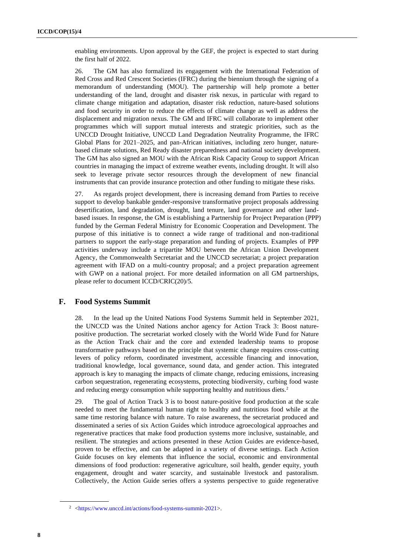enabling environments. Upon approval by the GEF, the project is expected to start during the first half of 2022.

26. The GM has also formalized its engagement with the International Federation of Red Cross and Red Crescent Societies (IFRC) during the biennium through the signing of a memorandum of understanding (MOU). The partnership will help promote a better understanding of the land, drought and disaster risk nexus, in particular with regard to climate change mitigation and adaptation, disaster risk reduction, nature-based solutions and food security in order to reduce the effects of climate change as well as address the displacement and migration nexus. The GM and IFRC will collaborate to implement other programmes which will support mutual interests and strategic priorities, such as the UNCCD Drought Initiative, UNCCD Land Degradation Neutrality Programme, the IFRC Global Plans for 2021–2025, and pan-African initiatives, including zero hunger, naturebased climate solutions, Red Ready disaster preparedness and national society development. The GM has also signed an MOU with the African Risk Capacity Group to support African countries in managing the impact of extreme weather events, including drought. It will also seek to leverage private sector resources through the development of new financial instruments that can provide insurance protection and other funding to mitigate these risks.

27. As regards project development, there is increasing demand from Parties to receive support to develop bankable gender-responsive transformative project proposals addressing desertification, land degradation, drought, land tenure, land governance and other landbased issues. In response, the GM is establishing a Partnership for Project Preparation (PPP) funded by the German Federal Ministry for Economic Cooperation and Development. The purpose of this initiative is to connect a wide range of traditional and non-traditional partners to support the early-stage preparation and funding of projects. Examples of PPP activities underway include a tripartite MOU between the African Union Development Agency, the Commonwealth Secretariat and the UNCCD secretariat; a project preparation agreement with IFAD on a multi-country proposal; and a project preparation agreement with GWP on a national project. For more detailed information on all GM partnerships, please refer to document ICCD/CRIC(20)/5.

## **F. Food Systems Summit**

28. In the lead up the United Nations Food Systems Summit held in September 2021, the UNCCD was the United Nations anchor agency for Action Track 3: Boost naturepositive production. The secretariat worked closely with the World Wide Fund for Nature as the Action Track chair and the core and extended leadership teams to propose transformative pathways based on the principle that systemic change requires cross-cutting levers of policy reform, coordinated investment, accessible financing and innovation, traditional knowledge, local governance, sound data, and gender action. This integrated approach is key to managing the impacts of climate change, reducing emissions, increasing carbon sequestration, regenerating ecosystems, protecting biodiversity, curbing food waste and reducing energy consumption while supporting healthy and nutritious diets.<sup>2</sup>

29. The goal of Action Track 3 is to boost nature-positive food production at the scale needed to meet the fundamental human right to healthy and nutritious food while at the same time restoring balance with nature. To raise awareness, the secretariat produced and disseminated a series of six Action Guides which introduce agroecological approaches and regenerative practices that make food production systems more inclusive, sustainable, and resilient. The strategies and actions presented in these Action Guides are evidence-based, proven to be effective, and can be adapted in a variety of diverse settings. Each Action Guide focuses on key elements that influence the social, economic and environmental dimensions of food production: regenerative agriculture, soil health, gender equity, youth engagement, drought and water scarcity, and sustainable livestock and pastoralism. Collectively, the Action Guide series offers a systems perspective to guide regenerative

<sup>2</sup> [<https://www.unccd.int/actions/food-systems-summit-2021>](https://www.unccd.int/actions/food-systems-summit-2021).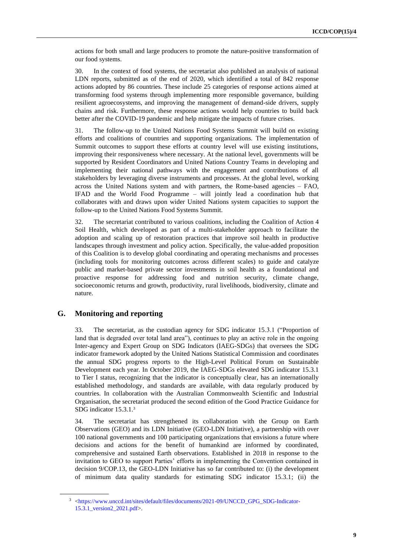actions for both small and large producers to promote the nature-positive transformation of our food systems.

30. In the context of food systems, the secretariat also published an analysis of national LDN reports, submitted as of the end of 2020, which identified a total of 842 response actions adopted by 86 countries. These include 25 categories of response actions aimed at transforming food systems through implementing more responsible governance, building resilient agroecosystems, and improving the management of demand-side drivers, supply chains and risk. Furthermore, these response actions would help countries to build back better after the COVID-19 pandemic and help mitigate the impacts of future crises.

31. The follow-up to the United Nations Food Systems Summit will build on existing efforts and coalitions of countries and supporting organizations. The implementation of Summit outcomes to support these efforts at country level will use existing institutions, improving their responsiveness where necessary. At the national level, governments will be supported by Resident Coordinators and United Nations Country Teams in developing and implementing their national pathways with the engagement and contributions of all stakeholders by leveraging diverse instruments and processes. At the global level, working across the United Nations system and with partners, the Rome-based agencies – FAO, IFAD and the World Food Programme – will jointly lead a coordination hub that collaborates with and draws upon wider United Nations system capacities to support the follow-up to the United Nations Food Systems Summit.

32. The secretariat contributed to various coalitions, including the Coalition of Action 4 Soil Health, which developed as part of a multi-stakeholder approach to facilitate the adoption and scaling up of restoration practices that improve soil health in productive landscapes through investment and policy action. Specifically, the value-added proposition of this Coalition is to develop global coordinating and operating mechanisms and processes (including tools for monitoring outcomes across different scales) to guide and catalyze public and market-based private sector investments in soil health as a foundational and proactive response for addressing food and nutrition security, climate change, socioeconomic returns and growth, productivity, rural livelihoods, biodiversity, climate and nature.

## **G. Monitoring and reporting**

33. The secretariat, as the custodian agency for SDG indicator 15.3.1 ("Proportion of land that is degraded over total land area"), continues to play an active role in the ongoing Inter-agency and Expert Group on SDG Indicators (IAEG-SDGs) that oversees the SDG indicator framework adopted by the United Nations Statistical Commission and coordinates the annual SDG progress reports to the High-Level Political Forum on Sustainable Development each year. In October 2019, the IAEG-SDGs elevated SDG indicator 15.3.1 to Tier I status, recognizing that the indicator is conceptually clear, has an internationally established methodology, and standards are available, with data regularly produced by countries. In collaboration with the Australian Commonwealth Scientific and Industrial Organisation, the secretariat produced the second edition of the Good Practice Guidance for SDG indicator 15.3.1.<sup>3</sup>

34. The secretariat has strengthened its collaboration with the Group on Earth Observations (GEO) and its LDN Initiative (GEO-LDN Initiative), a partnership with over 100 national governments and 100 participating organizations that envisions a future where decisions and actions for the benefit of humankind are informed by coordinated, comprehensive and sustained Earth observations. Established in 2018 in response to the invitation to GEO to support Parties' efforts in implementing the Convention contained in decision 9/COP.13, the GEO-LDN Initiative has so far contributed to: (i) the development of minimum data quality standards for estimating SDG indicator 15.3.1; (ii) the

<sup>&</sup>lt;sup>3</sup> [<https://www.unccd.int/sites/default/files/documents/2021-09/UNCCD\\_GPG\\_SDG-Indicator-](https://www.unccd.int/sites/default/files/documents/2021-09/UNCCD_GPG_SDG-Indicator-15.3.1_version2_2021.pdf)[15.3.1\\_version2\\_2021.pdf>](https://www.unccd.int/sites/default/files/documents/2021-09/UNCCD_GPG_SDG-Indicator-15.3.1_version2_2021.pdf).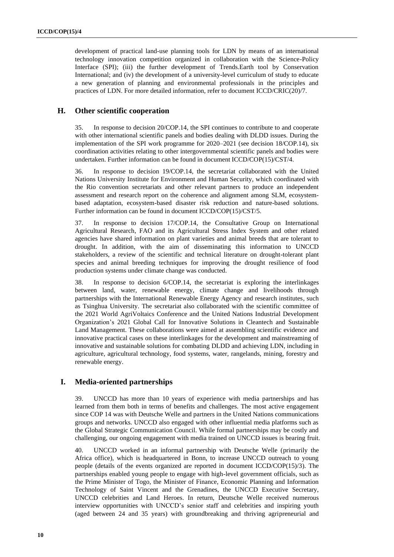development of practical land-use planning tools for LDN by means of an international technology innovation competition organized in collaboration with the Science-Policy Interface (SPI); (iii) the further development of Trends.Earth tool by Conservation International; and (iv) the development of a university-level curriculum of study to educate a new generation of planning and environmental professionals in the principles and practices of LDN. For more detailed information, refer to document ICCD/CRIC(20)/7.

### **H. Other scientific cooperation**

35. In response to decision 20/COP.14, the SPI continues to contribute to and cooperate with other international scientific panels and bodies dealing with DLDD issues. During the implementation of the SPI work programme for 2020–2021 (see decision 18/COP.14), six coordination activities relating to other intergovernmental scientific panels and bodies were undertaken. Further information can be found in document ICCD/COP(15)/CST/4.

36. In response to decision 19/COP.14, the secretariat collaborated with the United Nations University Institute for Environment and Human Security, which coordinated with the Rio convention secretariats and other relevant partners to produce an independent assessment and research report on the coherence and alignment among SLM, ecosystembased adaptation, ecosystem-based disaster risk reduction and nature-based solutions. Further information can be found in document ICCD/COP(15)/CST/5.

37. In response to decision 17/COP.14, the Consultative Group on International Agricultural Research, FAO and its Agricultural Stress Index System and other related agencies have shared information on plant varieties and animal breeds that are tolerant to drought. In addition, with the aim of disseminating this information to UNCCD stakeholders, a review of the scientific and technical literature on drought-tolerant plant species and animal breeding techniques for improving the drought resilience of food production systems under climate change was conducted.

38. In response to decision 6/COP.14, the secretariat is exploring the interlinkages between land, water, renewable energy, climate change and livelihoods through partnerships with the International Renewable Energy Agency and research institutes, such as Tsinghua University. The secretariat also collaborated with the scientific committee of the 2021 World AgriVoltaics Conference and the United Nations Industrial Development Organization's 2021 Global Call for Innovative Solutions in Cleantech and Sustainable Land Management. These collaborations were aimed at assembling scientific evidence and innovative practical cases on these interlinkages for the development and mainstreaming of innovative and sustainable solutions for combating DLDD and achieving LDN, including in agriculture, agricultural technology, food systems, water, rangelands, mining, forestry and renewable energy.

### **I. Media-oriented partnerships**

39. UNCCD has more than 10 years of experience with media partnerships and has learned from them both in terms of benefits and challenges. The most active engagement since COP 14 was with Deutsche Welle and partners in the United Nations communications groups and networks. UNCCD also engaged with other influential media platforms such as the Global Strategic Communication Council. While formal partnerships may be costly and challenging, our ongoing engagement with media trained on UNCCD issues is bearing fruit.

40. UNCCD worked in an informal partnership with Deutsche Welle (primarily the Africa office), which is headquartered in Bonn, to increase UNCCD outreach to young people (details of the events organized are reported in document ICCD/COP(15)/3). The partnerships enabled young people to engage with high-level government officials, such as the Prime Minister of Togo, the Minister of Finance, Economic Planning and Information Technology of Saint Vincent and the Grenadines, the UNCCD Executive Secretary, UNCCD celebrities and Land Heroes. In return, Deutsche Welle received numerous interview opportunities with UNCCD's senior staff and celebrities and inspiring youth (aged between 24 and 35 years) with groundbreaking and thriving agripreneurial and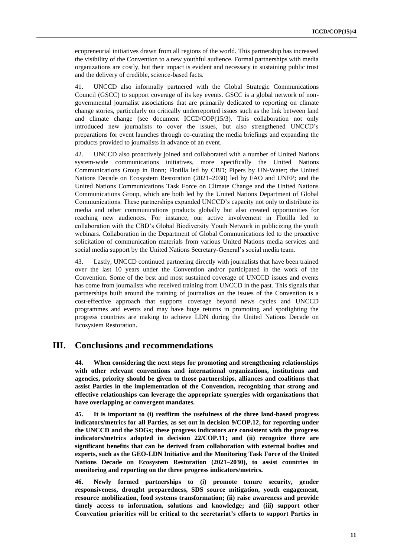ecopreneurial initiatives drawn from all regions of the world. This partnership has increased the visibility of the Convention to a new youthful audience. Formal partnerships with media organizations are costly, but their impact is evident and necessary in sustaining public trust and the delivery of credible, science-based facts.

41. UNCCD also informally partnered with the Global Strategic Communications Council (GSCC) to support coverage of its key events. GSCC is a global network of nongovernmental journalist associations that are primarily dedicated to reporting on climate change stories, particularly on critically underreported issues such as the link between land and climate change (see document ICCD/COP(15/3). This collaboration not only introduced new journalists to cover the issues, but also strengthened UNCCD's preparations for event launches through co-curating the media briefings and expanding the products provided to journalists in advance of an event.

42. UNCCD also proactively joined and collaborated with a number of United Nations system-wide communications initiatives, more specifically the United Nations Communications Group in Bonn; Flotilla led by CBD; Pipers by UN-Water; the United Nations Decade on Ecosystem Restoration (2021–2030) led by FAO and UNEP; and the United Nations Communications Task Force on Climate Change and the United Nations Communications Group, which are both led by the United Nations Department of Global Communications. These partnerships expanded UNCCD's capacity not only to distribute its media and other communications products globally but also created opportunities for reaching new audiences. For instance, our active involvement in Flotilla led to collaboration with the CBD's Global Biodiversity Youth Network in publicizing the youth webinars. Collaboration in the Department of Global Communications led to the proactive solicitation of communication materials from various United Nations media services and social media support by the United Nations Secretary-General's social media team.

43. Lastly, UNCCD continued partnering directly with journalists that have been trained over the last 10 years under the Convention and/or participated in the work of the Convention. Some of the best and most sustained coverage of UNCCD issues and events has come from journalists who received training from UNCCD in the past. This signals that partnerships built around the training of journalists on the issues of the Convention is a cost-effective approach that supports coverage beyond news cycles and UNCCD programmes and events and may have huge returns in promoting and spotlighting the progress countries are making to achieve LDN during the United Nations Decade on Ecosystem Restoration.

## **III. Conclusions and recommendations**

**44. When considering the next steps for promoting and strengthening relationships with other relevant conventions and international organizations, institutions and agencies, priority should be given to those partnerships, alliances and coalitions that assist Parties in the implementation of the Convention, recognizing that strong and effective relationships can leverage the appropriate synergies with organizations that have overlapping or convergent mandates.**

**45. It is important to (i) reaffirm the usefulness of the three land-based progress indicators/metrics for all Parties, as set out in decision 9/COP.12, for reporting under the UNCCD and the SDGs; these progress indicators are consistent with the progress indicators/metrics adopted in decision 22/COP.11; and (ii) recognize there are significant benefits that can be derived from collaboration with external bodies and experts, such as the GEO-LDN Initiative and the Monitoring Task Force of the United Nations Decade on Ecosystem Restoration (2021–2030), to assist countries in monitoring and reporting on the three progress indicators/metrics.** 

**46. Newly formed partnerships to (i) promote tenure security, gender responsiveness, drought preparedness, SDS source mitigation, youth engagement, resource mobilization, food systems transformation; (ii) raise awareness and provide timely access to information, solutions and knowledge; and (iii) support other Convention priorities will be critical to the secretariat's efforts to support Parties in**